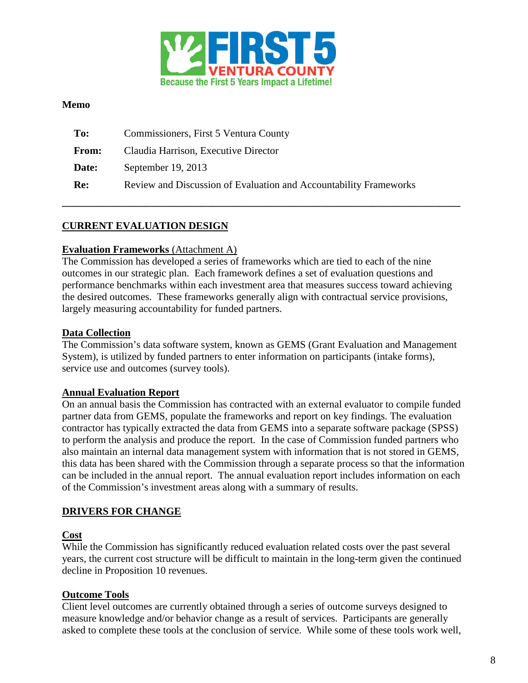

#### **Memo**

| To:          | Commissioners, First 5 Ventura County                             |
|--------------|-------------------------------------------------------------------|
| <b>From:</b> | Claudia Harrison, Executive Director                              |
| Date:        | September $19, 2013$                                              |
| Re:          | Review and Discussion of Evaluation and Accountability Frameworks |
|              |                                                                   |

## **CURRENT EVALUATION DESIGN**

#### **Evaluation Frameworks** (Attachment A)

The Commission has developed a series of frameworks which are tied to each of the nine outcomes in our strategic plan. Each framework defines a set of evaluation questions and performance benchmarks within each investment area that measures success toward achieving the desired outcomes. These frameworks generally align with contractual service provisions, largely measuring accountability for funded partners.

**\_\_\_\_\_\_\_\_\_\_\_\_\_\_\_\_\_\_\_\_\_\_\_\_\_\_\_\_\_\_\_\_\_\_\_\_\_\_\_\_\_\_\_\_\_\_\_\_\_\_\_\_\_\_\_\_\_\_\_\_\_\_\_\_\_\_\_\_\_\_\_\_\_\_\_\_\_**

#### **Data Collection**

The Commission's data software system, known as GEMS (Grant Evaluation and Management System), is utilized by funded partners to enter information on participants (intake forms), service use and outcomes (survey tools).

#### **Annual Evaluation Report**

On an annual basis the Commission has contracted with an external evaluator to compile funded partner data from GEMS, populate the frameworks and report on key findings. The evaluation contractor has typically extracted the data from GEMS into a separate software package (SPSS) to perform the analysis and produce the report. In the case of Commission funded partners who also maintain an internal data management system with information that is not stored in GEMS, this data has been shared with the Commission through a separate process so that the information can be included in the annual report. The annual evaluation report includes information on each of the Commission's investment areas along with a summary of results.

### **DRIVERS FOR CHANGE**

#### **Cost**

While the Commission has significantly reduced evaluation related costs over the past several years, the current cost structure will be difficult to maintain in the long-term given the continued decline in Proposition 10 revenues.

### **Outcome Tools**

Client level outcomes are currently obtained through a series of outcome surveys designed to measure knowledge and/or behavior change as a result of services. Participants are generally asked to complete these tools at the conclusion of service. While some of these tools work well,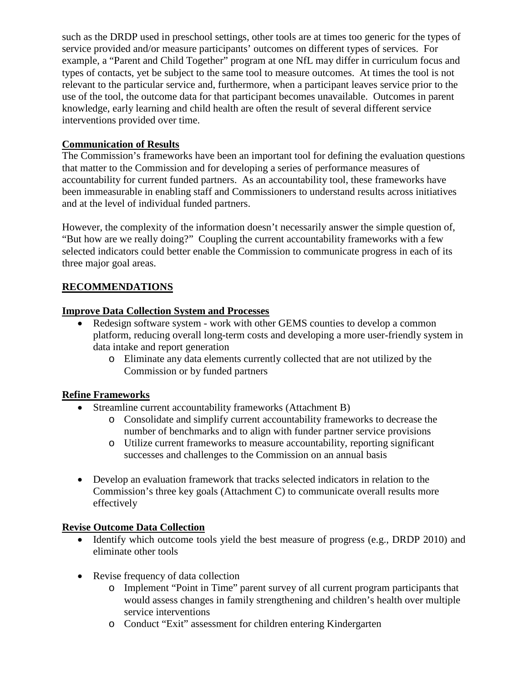such as the DRDP used in preschool settings, other tools are at times too generic for the types of service provided and/or measure participants' outcomes on different types of services. For example, a "Parent and Child Together" program at one NfL may differ in curriculum focus and types of contacts, yet be subject to the same tool to measure outcomes. At times the tool is not relevant to the particular service and, furthermore, when a participant leaves service prior to the use of the tool, the outcome data for that participant becomes unavailable. Outcomes in parent knowledge, early learning and child health are often the result of several different service interventions provided over time.

## **Communication of Results**

The Commission's frameworks have been an important tool for defining the evaluation questions that matter to the Commission and for developing a series of performance measures of accountability for current funded partners. As an accountability tool, these frameworks have been immeasurable in enabling staff and Commissioners to understand results across initiatives and at the level of individual funded partners.

However, the complexity of the information doesn't necessarily answer the simple question of, "But how are we really doing?" Coupling the current accountability frameworks with a few selected indicators could better enable the Commission to communicate progress in each of its three major goal areas.

## **RECOMMENDATIONS**

## **Improve Data Collection System and Processes**

- Redesign software system work with other GEMS counties to develop a common platform, reducing overall long-term costs and developing a more user-friendly system in data intake and report generation
	- o Eliminate any data elements currently collected that are not utilized by the Commission or by funded partners

### **Refine Frameworks**

- Streamline current accountability frameworks (Attachment B)
	- o Consolidate and simplify current accountability frameworks to decrease the number of benchmarks and to align with funder partner service provisions
	- o Utilize current frameworks to measure accountability, reporting significant successes and challenges to the Commission on an annual basis
- Develop an evaluation framework that tracks selected indicators in relation to the Commission's three key goals (Attachment C) to communicate overall results more effectively

### **Revise Outcome Data Collection**

- Identify which outcome tools yield the best measure of progress (e.g., DRDP 2010) and eliminate other tools
- Revise frequency of data collection
	- o Implement "Point in Time" parent survey of all current program participants that would assess changes in family strengthening and children's health over multiple service interventions
	- o Conduct "Exit" assessment for children entering Kindergarten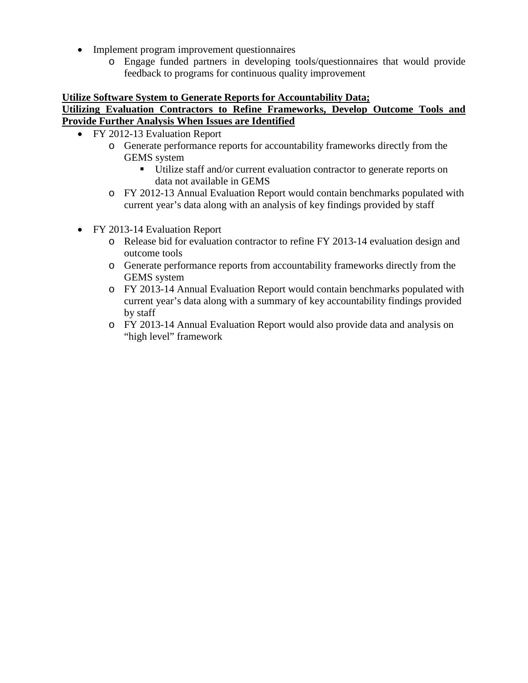- Implement program improvement questionnaires
	- o Engage funded partners in developing tools/questionnaires that would provide feedback to programs for continuous quality improvement

### **Utilize Software System to Generate Reports for Accountability Data;**

#### **Utilizing Evaluation Contractors to Refine Frameworks, Develop Outcome Tools and Provide Further Analysis When Issues are Identified**

- FY 2012-13 Evaluation Report
	- o Generate performance reports for accountability frameworks directly from the GEMS system
		- Utilize staff and/or current evaluation contractor to generate reports on data not available in GEMS
	- o FY 2012-13 Annual Evaluation Report would contain benchmarks populated with current year's data along with an analysis of key findings provided by staff
- FY 2013-14 Evaluation Report
	- o Release bid for evaluation contractor to refine FY 2013-14 evaluation design and outcome tools
	- o Generate performance reports from accountability frameworks directly from the GEMS system
	- o FY 2013-14 Annual Evaluation Report would contain benchmarks populated with current year's data along with a summary of key accountability findings provided by staff
	- o FY 2013-14 Annual Evaluation Report would also provide data and analysis on "high level" framework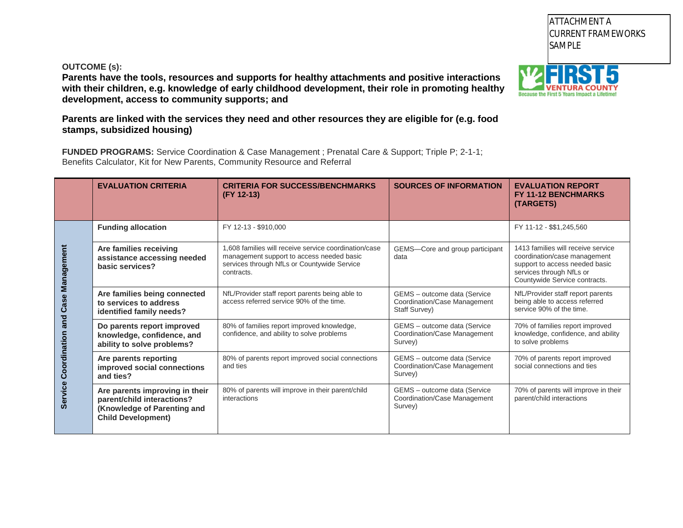#### **OUTCOME (s):**

**Parents have the tools, resources and supports for healthy attachments and positive interactions with their children, e.g. knowledge of early childhood development, their role in promoting healthy development, access to community supports; and**

**Parents are linked with the services they need and other resources they are eligible for (e.g. food stamps, subsidized housing)**

**FUNDED PROGRAMS:** Service Coordination & Case Management ; Prenatal Care & Support; Triple P; 2-1-1; Benefits Calculator, Kit for New Parents, Community Resource and Referral

|                                          | <b>EVALUATION CRITERIA</b>                                                                                               | <b>CRITERIA FOR SUCCESS/BENCHMARKS</b><br>(FY 12-13)                                                                                                                         | <b>SOURCES OF INFORMATION</b>                                           | <b>EVALUATION REPORT</b><br><b>FY 11-12 BENCHMARKS</b><br>(TARGETS)                                                                                               |
|------------------------------------------|--------------------------------------------------------------------------------------------------------------------------|------------------------------------------------------------------------------------------------------------------------------------------------------------------------------|-------------------------------------------------------------------------|-------------------------------------------------------------------------------------------------------------------------------------------------------------------|
|                                          | <b>Funding allocation</b>                                                                                                | FY 12-13 - \$910,000                                                                                                                                                         |                                                                         | FY 11-12 - \$\$1,245,560                                                                                                                                          |
| Service Coordination and Case Management | Are families receiving<br>assistance accessing needed<br>basic services?                                                 | 1.608 families will receive service coordination/case<br>management support to access needed basic<br>services through NfLs or Countywide Service<br>contracts.              | GEMS-Core and group participant<br>data                                 | 1413 families will receive service<br>coordination/case management<br>support to access needed basic<br>services through NfLs or<br>Countywide Service contracts. |
|                                          | Are families being connected<br>to services to address<br>identified family needs?                                       | NfL/Provider staff report parents being able to<br>GEMS - outcome data (Service<br>access referred service 90% of the time.<br>Coordination/Case Management<br>Staff Survey) |                                                                         | NfL/Provider staff report parents<br>being able to access referred<br>service 90% of the time.                                                                    |
|                                          | Do parents report improved<br>knowledge, confidence, and<br>ability to solve problems?                                   | 80% of families report improved knowledge,<br>confidence, and ability to solve problems                                                                                      | GEMS - outcome data (Service<br>Coordination/Case Management<br>Survey) | 70% of families report improved<br>knowledge, confidence, and ability<br>to solve problems                                                                        |
|                                          | Are parents reporting<br>improved social connections<br>and ties?                                                        | 80% of parents report improved social connections<br>and ties                                                                                                                | GEMS - outcome data (Service<br>Coordination/Case Management<br>Survey) | 70% of parents report improved<br>social connections and ties                                                                                                     |
|                                          | Are parents improving in their<br>parent/child interactions?<br>(Knowledge of Parenting and<br><b>Child Development)</b> | 80% of parents will improve in their parent/child<br>interactions                                                                                                            | GEMS - outcome data (Service<br>Coordination/Case Management<br>Survey) | 70% of parents will improve in their<br>parent/child interactions                                                                                                 |



**SAMPLE** 

**FY 2012-13** CURRENT FRAMEWORKS

ATTACHMENT A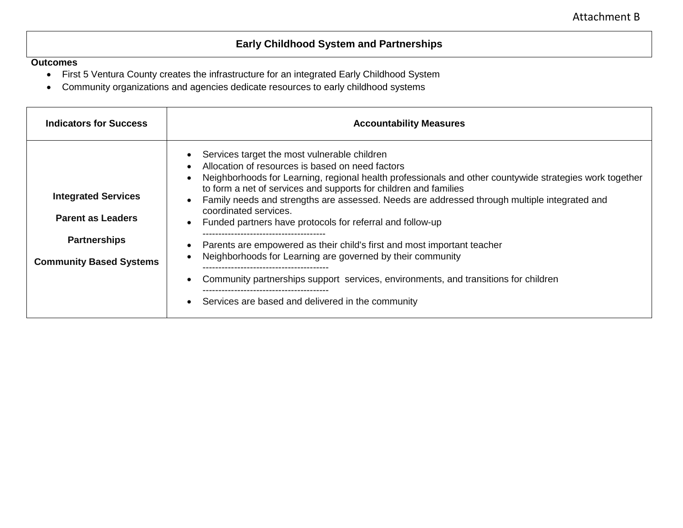# **Early Childhood System and Partnerships**

- First 5 Ventura County creates the infrastructure for an integrated Early Childhood System
- Community organizations and agencies dedicate resources to early childhood systems

| <b>Indicators for Success</b>                                                                                   | <b>Accountability Measures</b>                                                                                                                                                                                                                                                                                                                                                                                                                                                                                                                                                                                                                                                                                                                                         |
|-----------------------------------------------------------------------------------------------------------------|------------------------------------------------------------------------------------------------------------------------------------------------------------------------------------------------------------------------------------------------------------------------------------------------------------------------------------------------------------------------------------------------------------------------------------------------------------------------------------------------------------------------------------------------------------------------------------------------------------------------------------------------------------------------------------------------------------------------------------------------------------------------|
| <b>Integrated Services</b><br><b>Parent as Leaders</b><br><b>Partnerships</b><br><b>Community Based Systems</b> | Services target the most vulnerable children<br>$\bullet$<br>Allocation of resources is based on need factors<br>$\bullet$<br>Neighborhoods for Learning, regional health professionals and other countywide strategies work together<br>$\bullet$<br>to form a net of services and supports for children and families<br>Family needs and strengths are assessed. Needs are addressed through multiple integrated and<br>$\bullet$<br>coordinated services.<br>Funded partners have protocols for referral and follow-up<br>$\bullet$<br>Parents are empowered as their child's first and most important teacher<br>Neighborhoods for Learning are governed by their community<br>Community partnerships support services, environments, and transitions for children |
|                                                                                                                 | Services are based and delivered in the community<br>$\bullet$                                                                                                                                                                                                                                                                                                                                                                                                                                                                                                                                                                                                                                                                                                         |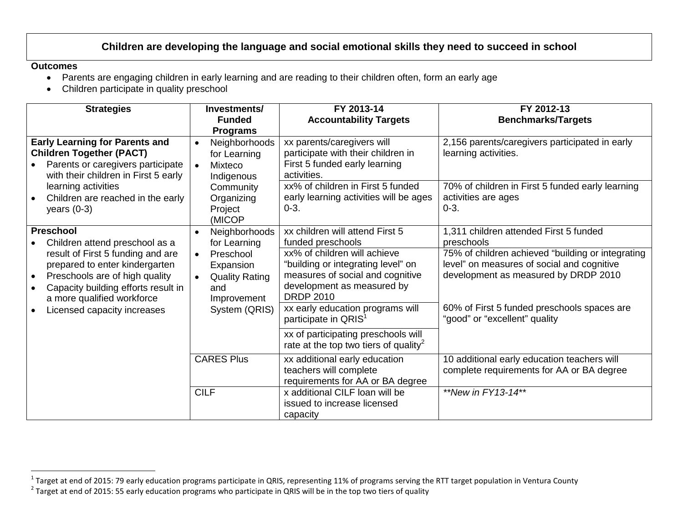## **Children are developing thelang[uag](#page-5-0)e and social emotional skills they need to succeed in school**

- Parents are engaging children in early learning and are reading to their children often, form an early age
- Children participate in quality preschool

| <b>Strategies</b>                                                                                                                                                                       | Investments/<br><b>Funded</b><br><b>Programs</b>                                                | FY 2013-14<br><b>Accountability Targets</b>                                                                                                              | FY 2012-13<br><b>Benchmarks/Targets</b>                                                                                                 |
|-----------------------------------------------------------------------------------------------------------------------------------------------------------------------------------------|-------------------------------------------------------------------------------------------------|----------------------------------------------------------------------------------------------------------------------------------------------------------|-----------------------------------------------------------------------------------------------------------------------------------------|
| <b>Early Learning for Parents and</b><br><b>Children Together (PACT)</b><br>Parents or caregivers participate<br>with their children in First 5 early                                   | Neighborhoods<br>$\bullet$<br>for Learning<br>Mixteco<br>$\bullet$<br>Indigenous                | xx parents/caregivers will<br>participate with their children in<br>First 5 funded early learning<br>activities.                                         | 2,156 parents/caregivers participated in early<br>learning activities.                                                                  |
| learning activities<br>Children are reached in the early<br>years $(0-3)$                                                                                                               | Community<br>Organizing<br>Project<br>(MICOP                                                    | xx% of children in First 5 funded<br>early learning activities will be ages<br>$0 - 3.$                                                                  | 70% of children in First 5 funded early learning<br>activities are ages<br>$0 - 3.$                                                     |
| <b>Preschool</b><br>Children attend preschool as a                                                                                                                                      | Neighborhoods<br>$\bullet$<br>for Learning                                                      | xx children will attend First 5<br>funded preschools                                                                                                     | 1,311 children attended First 5 funded<br>preschools                                                                                    |
| result of First 5 funding and are<br>prepared to enter kindergarten<br>Preschools are of high quality<br>Capacity building efforts result in<br>$\bullet$<br>a more qualified workforce | Preschool<br>$\bullet$<br>Expansion<br><b>Quality Rating</b><br>$\bullet$<br>and<br>Improvement | xx% of children will achieve<br>"building or integrating level" on<br>measures of social and cognitive<br>development as measured by<br><b>DRDP 2010</b> | 75% of children achieved "building or integrating<br>level" on measures of social and cognitive<br>development as measured by DRDP 2010 |
| Licensed capacity increases                                                                                                                                                             | System (QRIS)                                                                                   | xx early education programs will<br>participate in QRIS <sup>1</sup>                                                                                     | 60% of First 5 funded preschools spaces are<br>"good" or "excellent" quality                                                            |
|                                                                                                                                                                                         |                                                                                                 | xx of participating preschools will<br>rate at the top two tiers of quality <sup>2</sup>                                                                 |                                                                                                                                         |
|                                                                                                                                                                                         | <b>CARES Plus</b>                                                                               | xx additional early education<br>teachers will complete<br>requirements for AA or BA degree                                                              | 10 additional early education teachers will<br>complete requirements for AA or BA degree                                                |
|                                                                                                                                                                                         | <b>CILF</b>                                                                                     | x additional CILF loan will be<br>issued to increase licensed<br>capacity                                                                                | **New in FY13-14**                                                                                                                      |

<span id="page-5-1"></span><span id="page-5-0"></span><sup>&</sup>lt;sup>1</sup> Target at end of 2015: 79 early education programs participate in QRIS, representing 11% of programs serving the RTT target population in Ventura County<br><sup>2</sup> Target at end of 2015: 55 early education programs who partic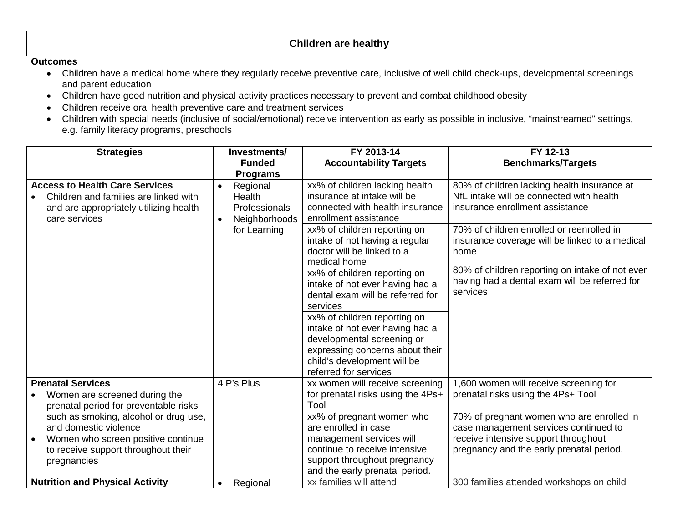## **Children are healthy**

- Children have a medical home where they regularly receive preventive care, inclusive of well child check-ups, developmental screenings and parent education
- Children have good nutrition and physical activity practices necessary to prevent and combat childhood obesity
- Children receive oral health preventive care and treatment services
- Children with special needs (inclusive of social/emotional) receive intervention as early as possible in inclusive, "mainstreamed" settings, e.g. family literacy programs, preschools

| <b>Strategies</b>                                               | Investments/          | FY 2013-14                                                    | FY 12-13                                        |
|-----------------------------------------------------------------|-----------------------|---------------------------------------------------------------|-------------------------------------------------|
|                                                                 | <b>Funded</b>         | <b>Accountability Targets</b>                                 | <b>Benchmarks/Targets</b>                       |
|                                                                 | <b>Programs</b>       |                                                               |                                                 |
| <b>Access to Health Care Services</b>                           | Regional<br>$\bullet$ | xx% of children lacking health                                | 80% of children lacking health insurance at     |
| Children and families are linked with                           | <b>Health</b>         | insurance at intake will be                                   | NfL intake will be connected with health        |
| and are appropriately utilizing health                          | <b>Professionals</b>  | connected with health insurance                               | insurance enrollment assistance                 |
| care services                                                   | Neighborhoods         | enrollment assistance                                         |                                                 |
|                                                                 | for Learning          | xx% of children reporting on                                  | 70% of children enrolled or reenrolled in       |
|                                                                 |                       | intake of not having a regular                                | insurance coverage will be linked to a medical  |
|                                                                 |                       | doctor will be linked to a                                    | home                                            |
|                                                                 |                       | medical home                                                  | 80% of children reporting on intake of not ever |
|                                                                 |                       | xx% of children reporting on                                  | having had a dental exam will be referred for   |
|                                                                 |                       | intake of not ever having had a                               | services                                        |
|                                                                 |                       | dental exam will be referred for                              |                                                 |
|                                                                 |                       | services                                                      |                                                 |
|                                                                 |                       | xx% of children reporting on                                  |                                                 |
|                                                                 |                       | intake of not ever having had a                               |                                                 |
|                                                                 |                       | developmental screening or<br>expressing concerns about their |                                                 |
|                                                                 |                       | child's development will be                                   |                                                 |
|                                                                 |                       | referred for services                                         |                                                 |
| <b>Prenatal Services</b>                                        | 4 P's Plus            | xx women will receive screening                               | 1,600 women will receive screening for          |
| Women are screened during the                                   |                       | for prenatal risks using the 4Ps+                             | prenatal risks using the 4Ps+ Tool              |
| prenatal period for preventable risks                           |                       | Tool                                                          |                                                 |
| such as smoking, alcohol or drug use,                           |                       | xx% of pregnant women who                                     | 70% of pregnant women who are enrolled in       |
| and domestic violence                                           |                       | are enrolled in case                                          | case management services continued to           |
| Women who screen positive continue                              |                       | management services will                                      | receive intensive support throughout            |
| to receive support throughout their                             |                       | continue to receive intensive                                 | pregnancy and the early prenatal period.        |
| pregnancies                                                     |                       | support throughout pregnancy                                  |                                                 |
|                                                                 |                       | and the early prenatal period.                                |                                                 |
| <b>Nutrition and Physical Activity</b><br>Regional<br>$\bullet$ |                       | xx families will attend                                       | 300 families attended workshops on child        |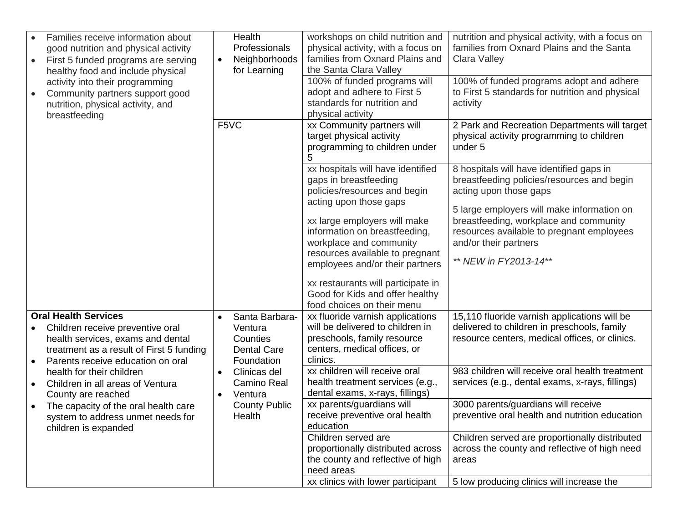| Families receive information about<br>good nutrition and physical activity<br>First 5 funded programs are serving<br>$\bullet$<br>healthy food and include physical<br>activity into their programming<br>Community partners support good<br>$\bullet$<br>nutrition, physical activity, and<br>breastfeeding                                                                                                             | Health<br>Professionals<br>Neighborhoods<br>$\bullet$<br>for Learning                                                                                              | workshops on child nutrition and<br>physical activity, with a focus on<br>families from Oxnard Plains and<br>the Santa Clara Valley<br>100% of funded programs will<br>adopt and adhere to First 5<br>standards for nutrition and<br>physical activity                                                                                                                                          | nutrition and physical activity, with a focus on<br>families from Oxnard Plains and the Santa<br><b>Clara Valley</b><br>100% of funded programs adopt and adhere<br>to First 5 standards for nutrition and physical<br>activity                                                                                                                                                                                                                 |
|--------------------------------------------------------------------------------------------------------------------------------------------------------------------------------------------------------------------------------------------------------------------------------------------------------------------------------------------------------------------------------------------------------------------------|--------------------------------------------------------------------------------------------------------------------------------------------------------------------|-------------------------------------------------------------------------------------------------------------------------------------------------------------------------------------------------------------------------------------------------------------------------------------------------------------------------------------------------------------------------------------------------|-------------------------------------------------------------------------------------------------------------------------------------------------------------------------------------------------------------------------------------------------------------------------------------------------------------------------------------------------------------------------------------------------------------------------------------------------|
|                                                                                                                                                                                                                                                                                                                                                                                                                          | F5VC                                                                                                                                                               | xx Community partners will<br>target physical activity<br>programming to children under                                                                                                                                                                                                                                                                                                         | 2 Park and Recreation Departments will target<br>physical activity programming to children<br>under 5                                                                                                                                                                                                                                                                                                                                           |
|                                                                                                                                                                                                                                                                                                                                                                                                                          |                                                                                                                                                                    | xx hospitals will have identified<br>gaps in breastfeeding<br>policies/resources and begin<br>acting upon those gaps<br>xx large employers will make<br>information on breastfeeding,<br>workplace and community<br>resources available to pregnant<br>employees and/or their partners<br>xx restaurants will participate in<br>Good for Kids and offer healthy<br>food choices on their menu   | 8 hospitals will have identified gaps in<br>breastfeeding policies/resources and begin<br>acting upon those gaps<br>5 large employers will make information on<br>breastfeeding, workplace and community<br>resources available to pregnant employees<br>and/or their partners<br>** NEW in FY2013-14**                                                                                                                                         |
| <b>Oral Health Services</b><br>Children receive preventive oral<br>health services, exams and dental<br>treatment as a result of First 5 funding<br>Parents receive education on oral<br>$\bullet$<br>health for their children<br>Children in all areas of Ventura<br>$\bullet$<br>County are reached<br>The capacity of the oral health care<br>$\bullet$<br>system to address unmet needs for<br>children is expanded | Santa Barbara-<br>$\bullet$<br>Ventura<br>Counties<br><b>Dental Care</b><br>Foundation<br>Clinicas del<br>Camino Real<br>Ventura<br><b>County Public</b><br>Health | xx fluoride varnish applications<br>will be delivered to children in<br>preschools, family resource<br>centers, medical offices, or<br>clinics.<br>xx children will receive oral<br>health treatment services (e.g.,<br>dental exams, x-rays, fillings)<br>xx parents/guardians will<br>receive preventive oral health<br>education<br>Children served are<br>proportionally distributed across | 15,110 fluoride varnish applications will be<br>delivered to children in preschools, family<br>resource centers, medical offices, or clinics.<br>983 children will receive oral health treatment<br>services (e.g., dental exams, x-rays, fillings)<br>3000 parents/guardians will receive<br>preventive oral health and nutrition education<br>Children served are proportionally distributed<br>across the county and reflective of high need |
|                                                                                                                                                                                                                                                                                                                                                                                                                          |                                                                                                                                                                    | the county and reflective of high<br>need areas<br>xx clinics with lower participant                                                                                                                                                                                                                                                                                                            | areas<br>5 low producing clinics will increase the                                                                                                                                                                                                                                                                                                                                                                                              |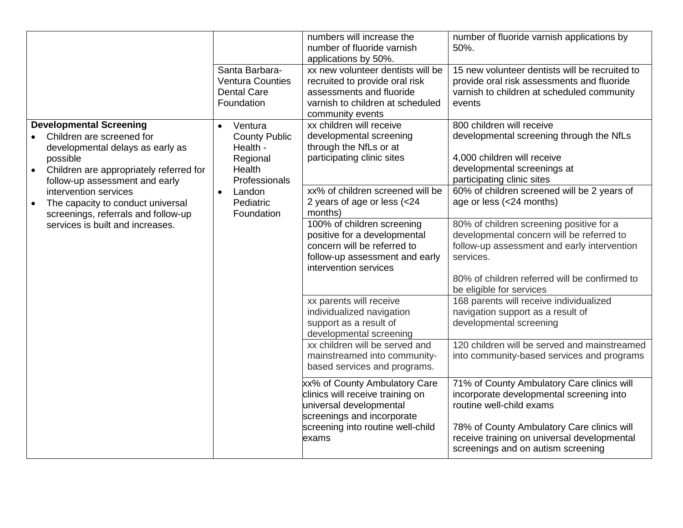|                                                                                                                                                                                          |                                                                                                 | numbers will increase the<br>number of fluoride varnish<br>applications by 50%.                                                                                          | number of fluoride varnish applications by<br>50%.                                                                                                                                                                                                    |
|------------------------------------------------------------------------------------------------------------------------------------------------------------------------------------------|-------------------------------------------------------------------------------------------------|--------------------------------------------------------------------------------------------------------------------------------------------------------------------------|-------------------------------------------------------------------------------------------------------------------------------------------------------------------------------------------------------------------------------------------------------|
|                                                                                                                                                                                          | Santa Barbara-<br><b>Ventura Counties</b><br><b>Dental Care</b><br>Foundation                   | xx new volunteer dentists will be<br>recruited to provide oral risk<br>assessments and fluoride<br>varnish to children at scheduled<br>community events                  | 15 new volunteer dentists will be recruited to<br>provide oral risk assessments and fluoride<br>varnish to children at scheduled community<br>events                                                                                                  |
| <b>Developmental Screening</b><br>Children are screened for<br>developmental delays as early as<br>possible<br>Children are appropriately referred for<br>follow-up assessment and early | Ventura<br>$\bullet$<br><b>County Public</b><br>Health -<br>Regional<br>Health<br>Professionals | xx children will receive<br>developmental screening<br>through the NfLs or at<br>participating clinic sites                                                              | 800 children will receive<br>developmental screening through the NfLs<br>4,000 children will receive<br>developmental screenings at<br>participating clinic sites                                                                                     |
| intervention services<br>The capacity to conduct universal<br>screenings, referrals and follow-up                                                                                        | Landon<br>$\bullet$<br>Pediatric<br>Foundation                                                  | xx% of children screened will be<br>2 years of age or less (<24<br>months)                                                                                               | 60% of children screened will be 2 years of<br>age or less (<24 months)                                                                                                                                                                               |
| services is built and increases.                                                                                                                                                         |                                                                                                 | 100% of children screening<br>positive for a developmental<br>concern will be referred to<br>follow-up assessment and early<br>intervention services                     | 80% of children screening positive for a<br>developmental concern will be referred to<br>follow-up assessment and early intervention<br>services.<br>80% of children referred will be confirmed to<br>be eligible for services                        |
|                                                                                                                                                                                          |                                                                                                 | xx parents will receive<br>individualized navigation<br>support as a result of<br>developmental screening                                                                | 168 parents will receive individualized<br>navigation support as a result of<br>developmental screening                                                                                                                                               |
|                                                                                                                                                                                          |                                                                                                 | xx children will be served and<br>mainstreamed into community-<br>based services and programs.                                                                           | 120 children will be served and mainstreamed<br>into community-based services and programs                                                                                                                                                            |
|                                                                                                                                                                                          |                                                                                                 | xx% of County Ambulatory Care<br>clinics will receive training on<br>universal developmental<br>screenings and incorporate<br>screening into routine well-child<br>exams | 71% of County Ambulatory Care clinics will<br>incorporate developmental screening into<br>routine well-child exams<br>78% of County Ambulatory Care clinics will<br>receive training on universal developmental<br>screenings and on autism screening |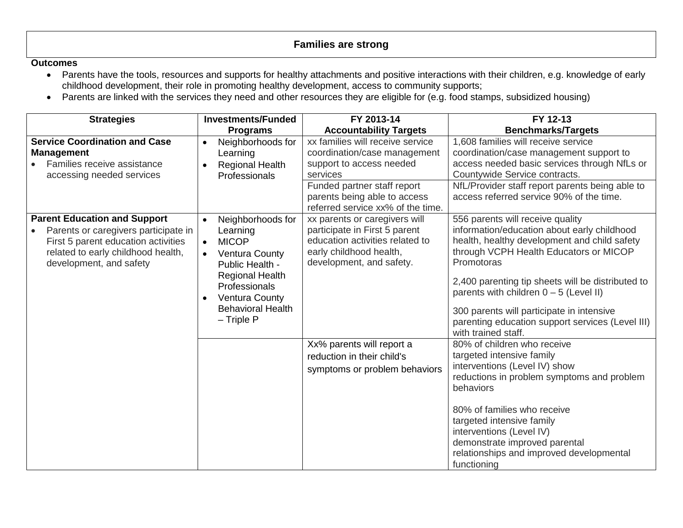## **Families are strong**

- Parents have the tools, resources and supports for healthy attachments and positive interactions with their children, e.g. knowledge of early childhood development, their role in promoting healthy development, access to community supports;
- Parents are linked with the services they need and other resources they are eligible for (e.g. food stamps, subsidized housing)

| <b>Strategies</b>                                                                                                                                                                   | <b>Investments/Funded</b>                                                                                                                                                                                                           | FY 2013-14                                                                                                                                                                                                   | FY 12-13                                                                                                                                                                                                                                                                                                                                                                                                         |
|-------------------------------------------------------------------------------------------------------------------------------------------------------------------------------------|-------------------------------------------------------------------------------------------------------------------------------------------------------------------------------------------------------------------------------------|--------------------------------------------------------------------------------------------------------------------------------------------------------------------------------------------------------------|------------------------------------------------------------------------------------------------------------------------------------------------------------------------------------------------------------------------------------------------------------------------------------------------------------------------------------------------------------------------------------------------------------------|
|                                                                                                                                                                                     | <b>Programs</b>                                                                                                                                                                                                                     | <b>Accountability Targets</b>                                                                                                                                                                                | <b>Benchmarks/Targets</b>                                                                                                                                                                                                                                                                                                                                                                                        |
| <b>Service Coordination and Case</b><br><b>Management</b><br>Families receive assistance<br>accessing needed services                                                               | Neighborhoods for<br>Learning<br><b>Regional Health</b><br>Professionals                                                                                                                                                            | xx families will receive service<br>coordination/case management<br>support to access needed<br>services<br>Funded partner staff report<br>parents being able to access<br>referred service xx% of the time. | 1,608 families will receive service<br>coordination/case management support to<br>access needed basic services through NfLs or<br>Countywide Service contracts.<br>NfL/Provider staff report parents being able to<br>access referred service 90% of the time.                                                                                                                                                   |
| <b>Parent Education and Support</b><br>Parents or caregivers participate in<br>First 5 parent education activities<br>related to early childhood health,<br>development, and safety | Neighborhoods for<br>$\bullet$<br>Learning<br><b>MICOP</b><br><b>Ventura County</b><br>$\bullet$<br>Public Health -<br><b>Regional Health</b><br>Professionals<br><b>Ventura County</b><br><b>Behavioral Health</b><br>$-$ Triple P | xx parents or caregivers will<br>participate in First 5 parent<br>education activities related to<br>early childhood health,<br>development, and safety.                                                     | 556 parents will receive quality<br>information/education about early childhood<br>health, healthy development and child safety<br>through VCPH Health Educators or MICOP<br>Promotoras<br>2,400 parenting tip sheets will be distributed to<br>parents with children $0 - 5$ (Level II)<br>300 parents will participate in intensive<br>parenting education support services (Level III)<br>with trained staff. |
|                                                                                                                                                                                     |                                                                                                                                                                                                                                     | Xx% parents will report a<br>reduction in their child's<br>symptoms or problem behaviors                                                                                                                     | 80% of children who receive<br>targeted intensive family<br>interventions (Level IV) show<br>reductions in problem symptoms and problem<br>behaviors<br>80% of families who receive<br>targeted intensive family<br>interventions (Level IV)<br>demonstrate improved parental<br>relationships and improved developmental<br>functioning                                                                         |